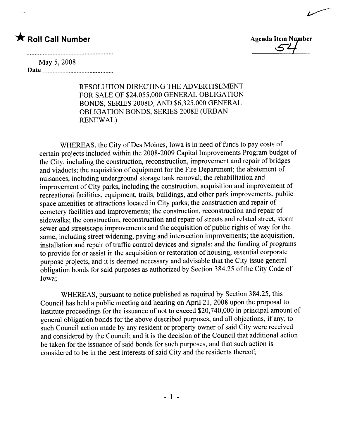~\_.

# May 5, 2008

Date

RESOLUTION DIRECTING THE ADVERTISEMENT FOR SALE OF \$24,055,000 GENERAL OBLIGATION BONDS, SERIES 2008D, AND \$6,325,000 GENERAL OBLIGATION BONDS, SERIES 2008E (URBAN RENEWAL)

WHEREAS, the City of Des Moines, Iowa is in need of funds to pay costs of certain projects included within the 2008-2009 Capital Improvements Program budget of the City, including the construction, reconstruction, improvement and repair of bridges and viaducts; the acquisition of equipment for the Fire Department; the abatement of nuisances, including underground storage tank removal; the rehabiltation and improvement of City parks, including the construction, acquisition and improvement of recreational facilities, equipment, trails, buildings, and other park improvements, public space amenities or attractions located in City parks; the construction and repair of cemetery facilities and improvements; the construction, reconstruction and repair of sidewalks; the construction, reconstruction and repair of streets and related street, storm sewer and streetscape improvements and the acquisition of public rights of way for the same, including street widening, paving and intersection improvements; the acquisition, installation and repair of traffic control devices and signals; and the funding of programs to provide for or assist in the acquisition or restoration of housing, essential corporate purpose projects, and it is deemed necessary and advisable that the City issue general obligation bonds for said purposes as authorized by Section 384.25 of the City Code of Iowa;

WHEREAS, pursuant to notice published as required by Section 384.25, this Council has held a public meeting and hearing on April 21, 2008 upon the proposal to institute proceedings for the issuance of not to exceed \$20,740,000 in principal amount of general obligation bonds for the above described purposes, and all objections, if any, to such Council action made by any resident or property owner of said City were received and considered by the Council; and it is the decision of the Council that additional action be taken for the issuance of said bonds for such purposes, and that such action is considered to be in the best interests of said City and the residents thereof;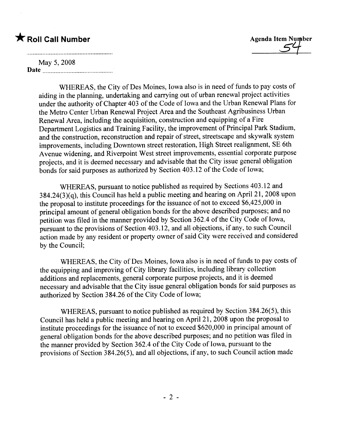# $\bigstar$  Roll Call Number  $\bigstar$  Roll Call Number



# May 5, 2008 Date **Date**

WHEREAS, the City of Des Moines, Iowa also is in need of funds to pay costs of aiding in the planning, undertaking and carrying out of urban renewal project activities under the authority of Chapter 403 of the Code of Iowa and the Urban Renewal Plans for the Metro Center Urban Renewal Project Area and the Southeast Agribusiness Urban Renewal Area, including the acquisition, construction and equipping of a Fire Department Logistics and Training Facilty, the improvement of Principal Park Stadium, and the construction, reconstruction and repair of street, streetscape and skywalk system improvements, including Downtown street restoration, High Street realignment, SE 6th Avenue widening, and Riverpoint West street improvements, essential corporate purpose projects, and it is deemed necessary and advisable that the City issue general obligation bonds for said purposes as authorized by Section 403.12 of the Code of Iowa;

WHEREAS, pursuant to notice published as required by Sections 403.12 and  $384.24(3)(q)$ , this Council has held a public meeting and hearing on April 21, 2008 upon the proposal to institute proceedings for the issuance of not to exceed \$6,425,000 in principal amount of general obligation bonds for the above described purposes; and no petition was filed in the manner provided by Section 362.4 of the City Code of Iowa, pursuant to the provisions of Section 403.12, and all objections, if any, to such Council action made by any resident or property owner of said City were received and considered by the Council;

WHEREAS, the City of Des Moines, Iowa also is in need of funds to pay costs of the equipping and improving of City library facilities, including library collection additions and replacements, general corporate purpose projects, and it is deemed necessary and advisable that the City issue general obligation bonds for said purposes as authorized by Section 384.26 of the City Code of Iowa;

WHEREAS, pursuant to notice published as required by Section 384.26(5), this Council has held a public meeting and hearing on April 21, 2008 upon the proposal to institute proceedings for the issuance of not to exceed \$620,000 in principal amount of general obligation bonds for the above described purposes; and no petition was fied in the manner provided by Section 362.4 of the City Code of Iowa, pursuant to the provisions of Section 384.26(5), and all objections, if any, to such Council action made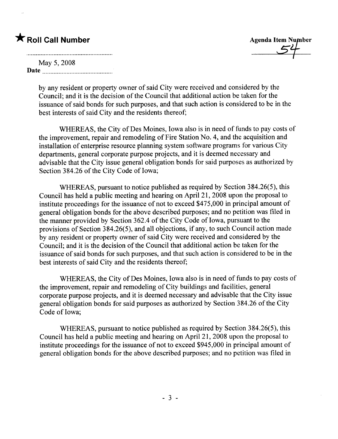| May 5, 2008 |  |
|-------------|--|
|             |  |
| Date        |  |

by any resident or property owner of said City were received and considered by the Council; and it is the decision of the Council that additional action be taken for the issuance of said bonds for such purposes, and that such action is considered to be in the best interests of said City and the residents thereof;

WHEREAS, the City of Des Moines, Iowa also is in need of funds to pay costs of the improvement, repair and remodeling of Fire Station No.4, and the acquisition and installation of enterprise resource planning system software programs for various City departments, general corporate purpose projects, and it is deemed necessary and advisable that the City issue general obligation bonds for said purposes as authorized by Section 384.26 of the City Code of Iowa;

WHEREAS, pursuant to notice published as required by Section 384.26(5), this Council has held a public meeting and hearing on April 21, 2008 upon the proposal to institute proceedings for the issuance of not to exceed \$475,000 in principal amount of general obligation bonds for the above described purposes; and no petition was fied in the manner provided by Section 362.4 of the City Code of Iowa, pursuant to the provisions of Section 384.26(5), and all objections, if any, to such Council action made by any resident or property owner of said City were received and considered by the Council; and it is the decision of the Council that additional action be taken for the issuance of said bonds for such purposes, and that such action is considered to be in the best interests of said City and the residents thereof;

WHEREAS, the City of Des Moines, Iowa also is in need of funds to pay costs of the improvement, repair and remodeling of City buildings and facilties, general corporate purpose projects, and it is deemed necessary and advisable that the City issue general obligation bonds for said purposes as authorized by Section 384.26 of the City Code of Iowa;

WHEREAS, pursuant to notice published as required by Section 384.26(5), this Council has held a public meeting and hearing on April 21, 2008 upon the proposal to institute proceedings for the issuance of not to exceed \$945,000 in principal amount of general obligation bonds for the above described purposes; and no petition was fied in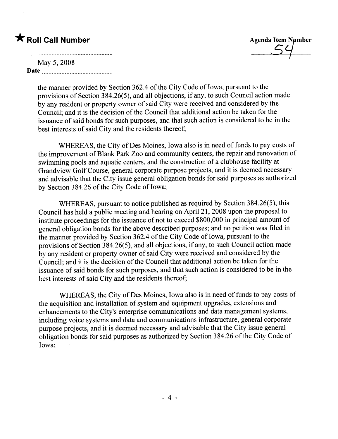# $\bigstar$  Roll Call Number

| <b>Agenda Item Number</b> |  |
|---------------------------|--|
|                           |  |
|                           |  |

# May 5,2008 Date

the manner provided by Section 362.4 of the City Code of Iowa, pursuant to the provisions of Section 384.26(5), and all objections, if any, to such Council action made by any resident or property owner of said City were received and considered by the Council; and it is the decision of the Council that additional action be taken for the issuance of said bonds for such purposes, and that such action is considered to be in the best interests of said City and the residents thereof;

WHEREAS, the City of Des Moines, Iowa also is in need of funds to pay costs of the improvement of Blank Park Zoo and community centers, the repair and renovation of swimming pools and aquatic centers, and the construction of a clubhouse facilty at Grandview Golf Course, general corporate purpose projects, and it is deemed necessary and advisable that the City issue general obligation bonds for said purposes as authorized by Section 384.26 of the City Code of Iowa;

WHEREAS, pursuant to notice published as required by Section 384.26(5), this Council has held a public meeting and hearing on April 21, 2008 upon the proposal to institute proceedings for the issuance of not to exceed \$800,000 in principal amount of general obligation bonds for the above described purposes; and no petition was fied in the manner provided by Section 362.4 of the City Code of Iowa, pursuant to the provisions of Section 384.26(5), and all objections, if any, to such Council action made by any resident or property owner of said City were received and considered by the Council; and it is the decision of the Council that additional action be taken for the issuance of said bonds for such purposes, and that such action is considered to be in the best interests of said City and the residents thereof;

WHEREAS, the City of Des Moines, Iowa also is in need of funds to pay costs of the acquisition and installation of system and equipment upgrades, extensions and enhancements to the City's enterprise communications and data management systems, including voice systems and data and communications infrastructure, general corporate purpose projects, and it is deemed necessary and advisable that the City issue general obligation bonds for said purposes as authorized by Section 384.26 of the City Code of Iowa;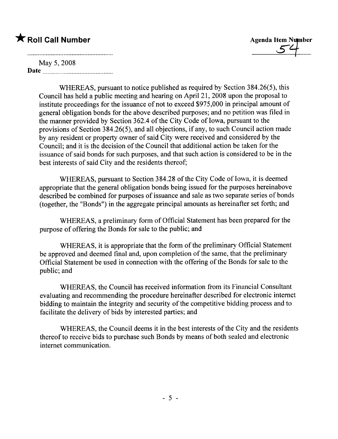|      | May 5, 2008 |  |
|------|-------------|--|
| Date |             |  |

WHEREAS, pursuant to notice published as required by Section 384.26(5), this Council has held a public meeting and hearing on April 21, 2008 upon the proposal to institute proceedings for the issuance of not to exceed \$975,000 in principal amount of general obligation bonds for the above described purposes; and no petition was fied in the manner provided by Section 362.4 of the City Code of Iowa, pursuant to the provisions of Section 384.26(5), and all objections, if any, to such Council action made by any resident or property owner of said City were received and considered by the Council; and it is the decision of the Council that additional action be taken for the issuance of said bonds for such purposes, and that such action is considered to be in the best interests of said City and the residents thereof;

WHEREAS, pursuant to Section 384.28 of the City Code of Iowa, it is deemed appropriate that the general obligation bonds being issued for the purposes hereinabove described be combined for purposes of issuance and sale as two separate series of bonds (together, the "Bonds") in the aggregate principal amounts as hereinafter set forth; and

WHEREAS, a preliminary form of Official Statement has been prepared for the purpose of offering the Bonds for sale to the public; and

WHEREAS, it is appropriate that the form of the preliminary Official Statement be approved and deemed final and, upon completion of the same, that the preliminary Official Statement be used in connection with the offering of the Bonds for sale to the public; and

WHEREAS, the Council has received information from its Financial Consultant evaluating and recommending the procedure hereinafter described for electronic internet bidding to maintain the integrity and security of the competitive bidding process and to facilitate the delivery of bids by interested parties; and

WHEREAS, the Council deems it in the best interests of the City and the residents thereof to receive bids to purchase such Bonds by means of both sealed and electronic internet communication.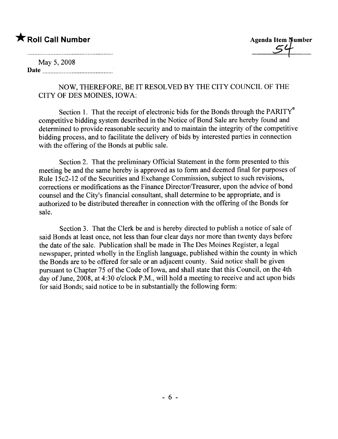\* Roll Call Number Agenda Item Agenda Item Agenda Item Agenda Item Agenda Item Agenda Item Strategy  $\leq$ 

# May 5, 2008

Date

NOW, THEREFORE, BE IT RESOLVED BY THE CITY COUNCIL OF THE CITY OF DES MOINES, IOWA:

Section 1. That the receipt of electronic bids for the Bonds through the PARITY $^{\circ}$ competitive bidding system described in the Notice of Bond Sale are hereby found and determined to provide reasonable security and to maintain the integrity of the competitive bidding process, and to faciltate the delivery of bids by interested parties in connection with the offering of the Bonds at public sale.

Section 2. That the preliminary Official Statement in the form presented to this meeting be and the same hereby is approved as to form and deemed final for purposes of Rule 15c2-12 of the Securities and Exchange Commission, subject to such revisions, corrections or modifications as the Finance Director/Treasurer, upon the advice of bond counsel and the City's financial consultant, shall determine to be appropriate, and is authorized to be distributed thereafter in connection with the offering of the Bonds for sale.

Section 3. That the Clerk be and is hereby directed to publish a notice of sale of said Bonds at least once, not less than four clear days nor more than twenty days before the date of the sale. Publication shall be made in The Des Moines Register, a legal newspaper, printed wholly in the English language, published within the county in which the Bonds are to be offered for sale or an adjacent county. Said notice shall be given pursuant to Chapter 75 of the Code of Iowa, and shall state that this Council, on the 4th day of June, 2008, at 4:30 o'clock P.M., wil hold a meeting to receive and act upon bids for said Bonds; said notice to be in substantially the following form: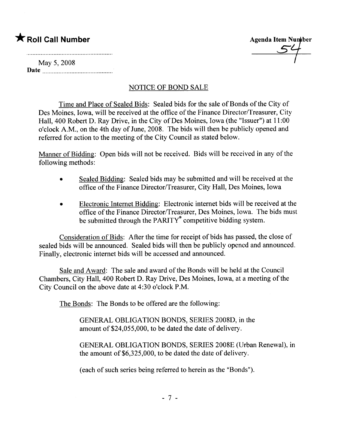# $\bigstar$  Roll Call Number

Agenda Item Number

May 5, 2008 Date

# NOTICE OF BOND SALE

Time and Place of Sealed Bids: Sealed bids for the sale of Bonds of the City of Des Moines, Iowa, will be received at the office of the Finance Director/Treasurer, City Hall, 400 Robert D. Ray Drive, in the City of Des Moines, Iowa (the "Issuer") at 11 :00 o'clock A.M., on the 4th day of June, 2008. The bids wil then be publicly opened and referred for action to the meeting of the City Council as stated below.

Manner of Bidding: Open bids will not be received. Bids will be received in any of the following methods:

- Sealed Bidding: Sealed bids may be submitted and will be received at the office of the Finance Director/Treasurer, City Hall, Des Moines, Iowa
- . Electronic Internet Bidding: Electronic internet bids wil be received at the office of the Finance Director/Treasurer, Des Moines, Iowa. The bids must be submitted through the PARITY $\degree$  competitive bidding system.

Consideration of Bids: After the time for receipt of bids has passed, the close of sealed bids will be announced. Sealed bids will then be publicly opened and announced. Finally, electronic internet bids will be accessed and announced.

Sale and Award: The sale and award of the Bonds will be held at the Council Chambers, City Hall, 400 Robert D. Ray Drive, Des Moines, Iowa, at a meeting of the City Council on the above date at 4:30 o'clock P.M.

The Bonds: The Bonds to be offered are the following:

GENERAL OBLIGATION BONDS, SERIES 2008D, in the amount of \$24,055,000, to be dated the date of delivery.

GENERAL OBLIGATION BONDS, SERIES 2008E (Urban Renewal), in the amount of \$6,325,000, to be dated the date of delivery.

(each of such series being referred to herein as the "Bonds").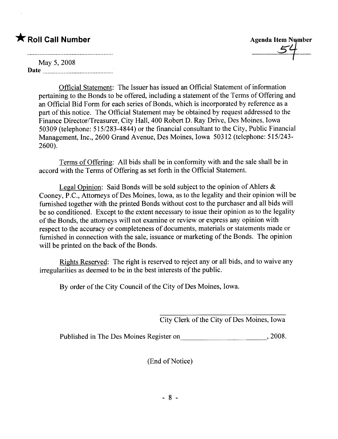# $\bigstar$  Roll Call Number

Agenda Item Number

May 5, 2008 Date

> Official Statement: The Issuer has issued an Official Statement of information pertaining to the Bonds to be offered, including a statement of the Terms of Offering and an Official Bid Form for each series of Bonds, which is incorporated by reference as a part of this notice. The Official Statement may be obtained by request addressed to the Finance Director/Treasurer, City Hall, 400 Robert D. Ray Drive, Des Moines, Iowa 50309 (telephone: 515/283-4844) or the financial consultant to the City, Public Financial Management, Inc., 2600 Grand Avenue, Des Moines, Iowa 50312 (telephone: 515/243- 2600).

Terms of Offering: All bids shall be in conformity with and the sale shall be in accord with the Terms of Offering as set forth in the Official Statement.

Legal Opinion: Said Bonds will be sold subject to the opinion of Ahlers  $\&$ Cooney, P.C., Attorneys of Des Moines, Iowa, as to the legality and their opinion wil be furnished together with the printed Bonds without cost to the purchaser and all bids wil be so conditioned. Except to the extent necessary to issue their opinion as to the legality of the Bonds, the attorneys will not examine or review or express any opinion with respect to the accuracy or completeness of documents, materials or statements made or furnished in connection with the sale, issuance or marketing of the Bonds. The opinion will be printed on the back of the Bonds.

Rights Reserved: The right is reserved to reject any or all bids, and to waive any irregularities as deemed to be in the best interests of the public.

By order of the City Council of the City of Des Moines, Iowa.

City Clerk of the City of Des Moines, Iowa

Published in The Des Moines Register on , 2008.

(End of Notice)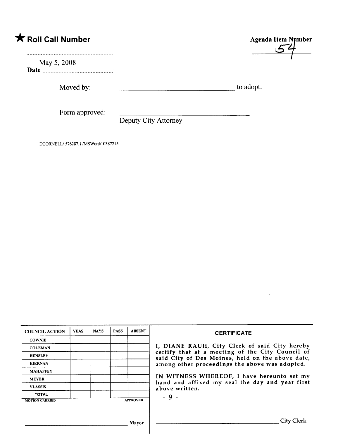May 5, 2008 Date

Moved by: to adopt.

Form approved:

Deputy City Attorney

DCORNELL/ 576287.1 /MSWord\10387215

| <b>COUNCIL ACTION</b> | <b>YEAS</b> | <b>NAYS</b> | <b>PASS</b> | <b>ABSENT</b>   | <b>CERTIFICATE</b>                                                                                   |
|-----------------------|-------------|-------------|-------------|-----------------|------------------------------------------------------------------------------------------------------|
| <b>COWNIE</b>         |             |             |             |                 |                                                                                                      |
| <b>COLEMAN</b>        |             |             |             |                 | I, DIANE RAUH, City Clerk of said City hereby                                                        |
| <b>HENSLEY</b>        |             |             |             |                 | certify that at a meeting of the City Council of<br>said City of Des Moines, held on the above date, |
| <b>KIERNAN</b>        |             |             |             |                 | among other proceedings the above was adopted.                                                       |
| <b>MAHAFFEY</b>       |             |             |             |                 |                                                                                                      |
| <b>MEYER</b>          |             |             |             |                 | IN WITNESS WHEREOF, I have hereunto set my                                                           |
| <b>VLASSIS</b>        |             |             |             |                 | hand and affixed my seal the day and year first<br>above written.                                    |
| <b>TOTAL</b>          |             |             |             |                 | $-9-$                                                                                                |
| <b>MOTION CARRIED</b> |             |             |             | <b>APPROVED</b> |                                                                                                      |
|                       |             |             |             |                 |                                                                                                      |
|                       |             |             |             | Mayor           | City Clerk                                                                                           |
|                       |             |             |             |                 |                                                                                                      |

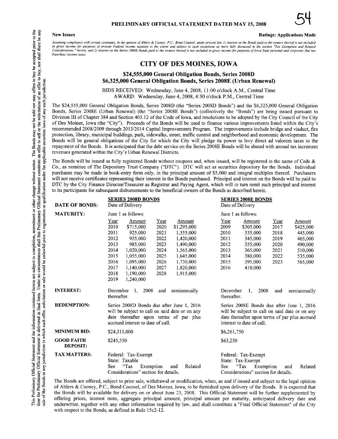#### **New Issues**

### PRELIMINARY OFFICIAL STATEMENT DATED MAY 15, 2008

#### **Ratings: Applications Made**

Assuming compliance with certain covenants, in the opinion of Ahlers & Cooney, P.C., Bond Counsel, under present law 1) interest on the Bonds paid to the owners thereof is not included in gross income for purposes of present Federal income taxation to the extent and subject to such exceptions as more fully discussed in the section "Tax Exemption and Related<br>Considerations " herein, and 2) interest on the franchise) income taxes

### **CITY OF DES MOINES, IOWA**

#### \$24,555,000 General Obligation Bonds, Series 2008D \$6,325,000 General Obligation Bonds, Series 2008E (Urban Renewal)

BIDS RECEIVED: Wednesday, June 4, 2008, 11:00 o'clock A.M., Central Time AWARD: Wednesday, June 4, 2008, 4:30 o'clock P.M., Central Time

The \$24,555,000 General Obligation Bonds, Series 2008D (the "Series 2008D Bonds") and the \$6,325,000 General Obligation Bonds, Series 2008E (Urban Renewal) (the "Series 2008E Bonds") (collectively the "Bonds") are being issued pursuant to Division III of Chapter 384 and Section 403.12 of the Code of Iowa, and resolutions to be adopted by the City Council of the City of Des Moines, Iowa (the "City"). Proceeds of the Bonds will be used to finance various improvements listed within the City's recommended 2008/2009 through 2013/2014 Capital Improvements Program. The improvements include bridge and viaduct, fire protection, library, municipal buildings, park, sidewalks, street, traffic control and neighborhood and economic development. The Bonds will be general obligations of the City for which the City will pledge its power to levy direct ad valorem taxes to the repayment of the Bonds. It is anticipated that the debt service on the Series 2008E Bonds will be abated with annual tax increment revenues generated within the City's Urban Renewal Districts.

The Bonds will be issued as fully registered Bonds without coupons and, when issued, will be registered in the name of Cede  $\&$ Co., as nominee of The Depository Trust Company ("DTC"). DTC will act as securities depository for the Bonds. Individual purchases may be made in book-entry form only, in the principal amount of \$5,000 and integral multiples thereof. Purchasers will not receive certificates representing their interest in the Bonds purchased. Principal and interest on the Bonds will be paid to DTC by the City Finance Director/Treasurer as Registrar and Paying Agent, which will in turn remit such principal and interest to its participants for subsequent disbursements to the beneficial owners of the Bonds as described herein.

| <b>DATE OF BONDS:</b>                | <b>SERIES 2008D BONDS</b><br>Date of Delivery                                                                                                                                                                                                                                                                                                                                                                                               | <b>SERIES 2008E BONDS</b><br>Date of Delivery                                                                                                                                                                                                                                                                                     |  |  |
|--------------------------------------|---------------------------------------------------------------------------------------------------------------------------------------------------------------------------------------------------------------------------------------------------------------------------------------------------------------------------------------------------------------------------------------------------------------------------------------------|-----------------------------------------------------------------------------------------------------------------------------------------------------------------------------------------------------------------------------------------------------------------------------------------------------------------------------------|--|--|
| <b>MATURITY:</b>                     | June 1 as follows:                                                                                                                                                                                                                                                                                                                                                                                                                          | June 1 as follows:                                                                                                                                                                                                                                                                                                                |  |  |
|                                      | Year<br>Amount<br>Year<br>Amount<br>2010<br>2020<br>\$715,000<br>\$1,295,000<br>2011<br>925,000<br>2021<br>1,355,000<br>2012<br>2022<br>955,000<br>1,420,000<br>2013<br>2023<br>985,000<br>1,490,000<br>2014<br>1,020,000<br>2024<br>1,565,000<br>2015<br>2025<br>1,055,000<br>1,645,000<br>2016<br>2026<br>1.095,000<br>1,730,000<br>2017<br>2027<br>1,140,000<br>1,820,000<br>2018<br>1,190,000<br>2028<br>1,915,000<br>2019<br>1,240,000 | Year<br>Amount<br>Year<br>Amount<br>2009<br>\$305,000<br>2017<br>\$425,000<br>2010<br>2018<br>335,000<br>445,000<br>2011<br>345,000<br>2019<br>465,000<br>2012<br>2020<br>355,000<br>490,000<br>2013<br>365,000<br>2021<br>510,000<br>2014<br>380,000<br>2022<br>535,000<br>2015<br>395,000<br>2023<br>565,000<br>410,000<br>2016 |  |  |
| <b>INTEREST:</b>                     | semiannually<br>December<br>1.<br>2008<br>and<br>thereafter.                                                                                                                                                                                                                                                                                                                                                                                | December<br>2008<br>semiannually<br>1.<br>and<br>thereafter.                                                                                                                                                                                                                                                                      |  |  |
| <b>REDEMPTION:</b>                   | Series 2008D Bonds due after June 1, 2016<br>will be subject to call on said date or on any<br>date thereafter upon terms of par plus<br>accrued interest to date of call.                                                                                                                                                                                                                                                                  | Series 2008E Bonds due after June 1, 2016<br>will be subject to call on said date or on any<br>date thereafter upon terms of par plus accrued<br>interest to date of call.                                                                                                                                                        |  |  |
| <b>MINIMUM BID:</b>                  | \$24,311,000                                                                                                                                                                                                                                                                                                                                                                                                                                | \$6,261,750                                                                                                                                                                                                                                                                                                                       |  |  |
| <b>GOOD FAITH</b><br><b>DEPOSIT:</b> | \$245,550                                                                                                                                                                                                                                                                                                                                                                                                                                   | \$63,250                                                                                                                                                                                                                                                                                                                          |  |  |
| <b>TAX MATTERS:</b>                  | Federal: Tax-Exempt<br>State: Taxable<br>"Tax<br>See<br>Exemption<br>Related<br>and<br>Considerations" section for details.                                                                                                                                                                                                                                                                                                                 | Federal: Tax-Exempt<br>State: Tax-Exempt<br>" $\text{Tax}$<br>See<br>Exemption<br>Related<br>and<br>Considerations" section for details.                                                                                                                                                                                          |  |  |

The Bonds are offered, subject to prior sale, withdrawal or modification, when, as and if issued and subject to the legal opinion of Ahlers & Cooney, P.C., Bond Counsel, of Des Moines, Iowa, to be furnished upon delivery of the Bonds. It is expected that the Bonds will be available for delivery on or about June 23, 2008. This Official Statement will be further supplemented by offering prices, interest rates, aggregate principal amount, principal amount per maturity, anticipated delivery date and underwriter, together with any other information required by law, and shall constitute a "Final Official Statement" of the City with respect to the Bonds, as defined in Rule 15c2-12.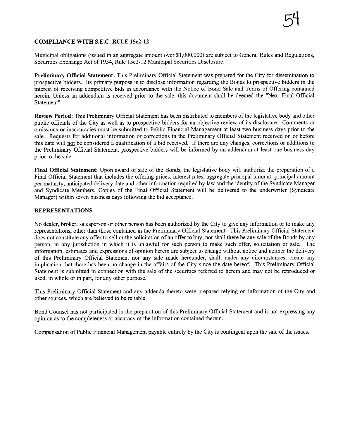### COMPLIANCE WITH S.E.C. RULE 15c2-12

Municipal obligations (issued in an aggregate amount over \$1,000,000) are subject to General Rules and Regulations, Securities Exchange Act of 1934, Rule 15c2-12 Municipal Securities Disclosure.

Preliminary Official Statement: This Preliminary Official Statement was prepared for the City for dissemination to prospective bidders. Its primary purpose is to disclose information regarding the Bonds to prospective bidders in the interest of receiving competitive bids in accordance with the Notice of Bond Sale and Tenns of Offering contained herein. Unless an addendum is received prior to the sale, this document shall be deemed the "Near Final Official Statement".

Review Period: This Preliminary Official Statement has been distributed to members of the legislative body and other public officials of the City as well as to prospective bidders for an objective review of its disclosure. Comments or omissions or inaccuracies must be submitted to Public Financial Management at least two business days prior to the sale. Requests for additional information or corrections in the Preliminary Official Statement received on or before this date will not be considered a qualification of a bid received. If there are any changes, corrections or additions to the Preliminary Official Statement, prospective bidders will be informed by an addendum at least one business day prior to the sale.

Final Official Statement: Upon award of sale of the Bonds, the legislative body will authorize the preparation of a Final Official Statement that includes the offering prices, interest rates, aggregate principal amount, principal amount per matuty, anticipated delivery date and other information required by law and the identity of the Syndicate Manager and Syndicate Members. Copies of the Final Official Statement will be delivered to the underwriter (Syndicate Manager) within seven business days following the bid acceptance.

### REPRESENTATIONS

No dealer, broker, salesperson or other person has been authorized by the City to give any information or to make any representations, other than those contained in the Preliminary Official Statement. This Preliminary Official Statement does not constitute any offer to sell or the solicitation of an offer to buy, nor shall there be any sale of the Bonds by any person, in any jursdiction in which it is unlawful for such person to make such offer, solicitation or sale. The information, estimates and expressions of opinion herein are subject to change without notice and neither the delivery of this Preliminary Official Statement nor any sale made hereunder, shall, under any circumstances, create any implication that there has been no change in the affairs of the City since the date hereof. This Preliminary Offcial Statement is submitted in connection with the sale of the securities referred to herein and may not be reproduced or used, in whole or in part, for any other purose.

This Preliminary Official Statement and any addenda thereto were prepared relying on information of the City and other sources, which are believed to be reliable.

Bond Counsel has not participated in the preparation of this Preliminary Official Statement and is not expressing any opinion as to the completeness or accuracy of the information contained therein.

Compensation of Public Financial Management payable entirely by the City is contingent upon the sale of the issues.

 $\mathcal{L}_{\mathcal{A}}$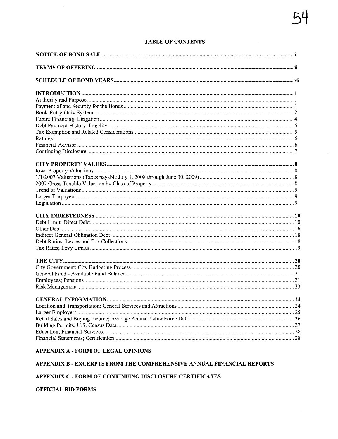# **TABLE OF CONTENTS**

### APPENDIX A - FORM OF LEGAL OPINIONS

### APPENDIX B - EXCERPTS FROM THE COMPREHENSIVE ANNUAL FINANCIAL REPORTS

### APPENDIX C - FORM OF CONTINUING DISCLOSURE CERTIFICATES

#### **OFFICIAL BID FORMS**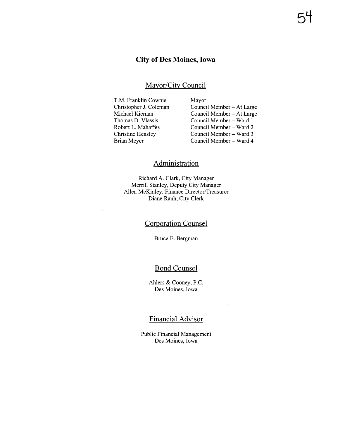# City of Des Moines, Iowa

### Mayor/City Council

T.M. Frankin Cownie Christopher J. Coleman Michael Kiernan Thomas D. Vlassis Robert L. Mahaffey Christine Hensley Brian Meyer

Mayor Council Member - At Large Council Member - At Large Council Member - Ward I Council Member - Ward 2 Council Member - Ward 3 Council Member - Ward 4

# Administration

Richard A. Clark, City Manager Merrill Stanley, Deputy City Manager Allen McKinley, Finance Director/Treasurer Diane Rauh, City Clerk

# Corporation Counsel

Bruce E. Bergman

# Bond Counsel

Ahlers & Cooney, P.c. Des Moines, Iowa

# Financial Advisor

Public Financial Management Des Moines, Iowa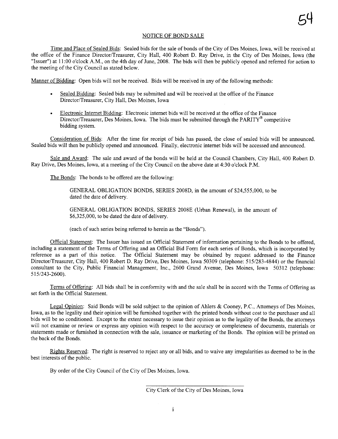#### NOTICE OF BOND SALE

Time and Place of Sealed Bids: Sealed bids for the sale of bonds of the City of Des Moines, Iowa, wil be received at the office of the Finance Director/Treasurer, City Hall, 400 Robert D. Ray Drive, in the City of Des Moines, Iowa (the "Issuer") at 11:00 o'clock A.M., on the 4th day of June, 2008. The bids will then be publicly opened and referred for action to the meeting of the City Council as stated below.

Manner of Bidding: Open bids will not be received. Bids will be received in any of the following methods:

- Sealed Bidding: Sealed bids may be submitted and wil be received at the office of the Finance Director/Treasurer, City Hall, Des Moines, Iowa
- Electronic Internet Bidding: Electronic internet bids will be received at the office of the Finance Director/Treasurer, Des Moines, Iowa. The bids must be submitted through the PARITY<sup>®</sup> competitive bidding system.

Consideration of Bids: After the time for receipt of bids has passed, the close of sealed bids will be announced. Sealed bids will then be publicly opened and announced. Finally, electronic internet bids will be accessed and announced.

Sale and Award: The sale and award of the bonds wil be held at the Council Chambers, City Hall, 400 Robert D. Ray Drive, Des Moines, Iowa, at a meeting of the City Council on the above date at 4:30 o'clock P.M.

The Bonds: The bonds to be offered are the following:

GENERAL OBLIGATION BONDS, SERIES 2008D, in the amount of \$24,555,000, to be dated the date of delivery.

GENERAL OBLIGATION BONDS, SERIES 2008E (Urban Renewal), in the amount of \$6,325,000, to be dated the date of delivery.

(each of such series being referred to herein as the "Bonds").

Official Statement: The Issuer has issued an Official Statement of information pertaining to the Bonds to be offered, including a statement of the Terms of Offering and an Official Bid Form for each series of Bonds, which is incorporated by reference as a part of this notice. The Official Statement may be obtained by request addressed to the Finance Director/Treasurer, City Hall, 400 Robert D. Ray Drive, Des Moines, Iowa 50309 (telephone: 515/283-4844) or the financial consultant to the City, Public Financial Management, Inc., 2600 Grand Avenue, Des Moines, Iowa 50312 (telephone: 515/243-2600).

Terms of Offering: All bids shall be in conformity with and the sale shall be in accord with the Terms of Offering as set forth in the Official Statement.

Legal Opinion: Said Bonds will be sold subject to the opinion of Ahlers & Cooney, P.c., Attorneys of Des Moines, Iowa, as to the legality and their opinion will be furnished together with the printed bonds without cost to the purchaser and all bids will be so conditioned. Except to the extent necessary to issue their opinion as to the legality of the Bonds, the attorneys will not examine or review or express any opinion with respect to the accuracy or completeness of documents, materials or statements made or furnished in connection with the sale, issuance or marketing of the Bonds. The opinion will be printed on the back of the Bonds.

Rights Reserved: The right is reserved to reject any or all bids, and to waive any irregularities as deemed to be in the best interests of the public.

By order of the City Council of the City of Des Moines, Iowa.

City Clerk of the City of Des Moines, Iowa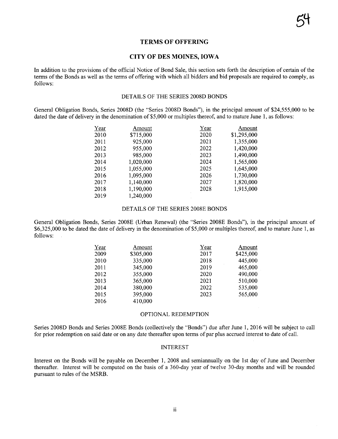### TERMS OF OFFERING

#### CITY OF DES MOINES, IOWA

In addition to the provisions of the official Notice of Bond Sale, this section sets forth the description of certin of the terms of the Bonds as well as the terms of offering with which all bidders and bid proposals are required to comply, as follows:

#### DETAILS OF THE SERIES 2008D BONDS

General Obligation Bonds, Series 2008D (the "Series 2008D Bonds"), in the principal amount of \$24,555,000 to be dated the date of delivery in the denomination of \$5,000 or multiples thereof, and to mature June 1, as follows:

| Year | Amount    | Year | Amount      |
|------|-----------|------|-------------|
| 2010 | \$715,000 | 2020 | \$1,295,000 |
| 2011 | 925,000   | 2021 | 1,355,000   |
| 2012 | 955,000   | 2022 | 1,420,000   |
| 2013 | 985,000   | 2023 | 1,490,000   |
| 2014 | 1,020,000 | 2024 | 1,565,000   |
| 2015 | 1,055,000 | 2025 | 1,645,000   |
| 2016 | 1,095,000 | 2026 | 1,730,000   |
| 2017 | 1,140,000 | 2027 | 1,820,000   |
| 2018 | 1,190,000 | 2028 | 1,915,000   |
| 2019 | 1,240,000 |      |             |

#### DETAILS OF THE SERIES 2008E BONDS

General Obligation Bonds, Series 2008E (Urban Renewal) (the "Series 2008E Bonds"), in the principal amount of \$6,325,000 to be dated the date of delivery in the denomination of \$5,000 or multiples thereof, and to mature June 1, as follows:

| Year | Amount    | Year | Amount    |
|------|-----------|------|-----------|
| 2009 | \$305,000 | 2017 | \$425,000 |
| 2010 | 335,000   | 2018 | 445,000   |
| 2011 | 345,000   | 2019 | 465,000   |
| 2012 | 355,000   | 2020 | 490,000   |
| 2013 | 365,000   | 2021 | 510,000   |
| 2014 | 380,000   | 2022 | 535,000   |
| 2015 | 395,000   | 2023 | 565,000   |
| 2016 | 410,000   |      |           |

#### OPTIONAL REDEMPTION

Series 2008D Bonds and Series 2008E Bonds (collectively the "Bonds") due after June 1,2016 will be subject to call for prior redemption on said date or on any date thereafter upon tenns of par plus accrued interest to date of calL.

#### INTEREST

Interest on the Bonds will be payable on December 1, 2008 and semiannually on the 1st day of June and December thereafter. Interest will be computed on the basis of a 360-day year of twelve 30-day months and will be rounded pursuant to rules of the MSRB.